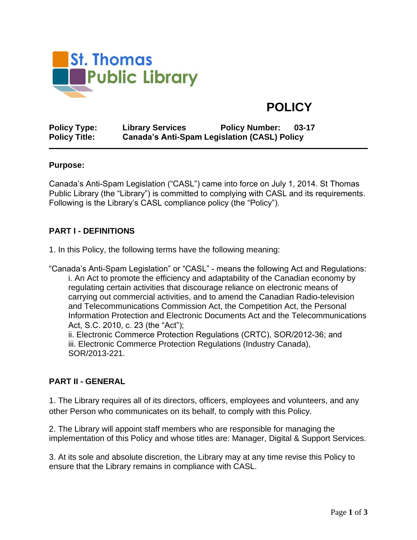

# **POLICY**

**Policy Type: Library Services Policy Number: 03-17 Policy Title: Canada's Anti-Spam Legislation (CASL) Policy**

#### **Purpose:**

Canada's Anti-Spam Legislation ("CASL") came into force on July 1, 2014. St Thomas Public Library (the "Library") is committed to complying with CASL and its requirements. Following is the Library's CASL compliance policy (the "Policy").

## **PART I - DEFINITIONS**

1. In this Policy, the following terms have the following meaning:

"Canada's Anti-Spam Legislation" or "CASL" - means the following Act and Regulations: i. An Act to promote the efficiency and adaptability of the Canadian economy by regulating certain activities that discourage reliance on electronic means of carrying out commercial activities, and to amend the Canadian Radio-television and Telecommunications Commission Act, the Competition Act, the Personal Information Protection and Electronic Documents Act and the Telecommunications Act, S.C. 2010, c. 23 (the "Act");

ii. Electronic Commerce Protection Regulations (CRTC), SOR/2012-36; and iii. Electronic Commerce Protection Regulations (Industry Canada), SOR/2013-221.

### **PART II - GENERAL**

1. The Library requires all of its directors, officers, employees and volunteers, and any other Person who communicates on its behalf, to comply with this Policy.

2. The Library will appoint staff members who are responsible for managing the implementation of this Policy and whose titles are: Manager, Digital & Support Services.

3. At its sole and absolute discretion, the Library may at any time revise this Policy to ensure that the Library remains in compliance with CASL.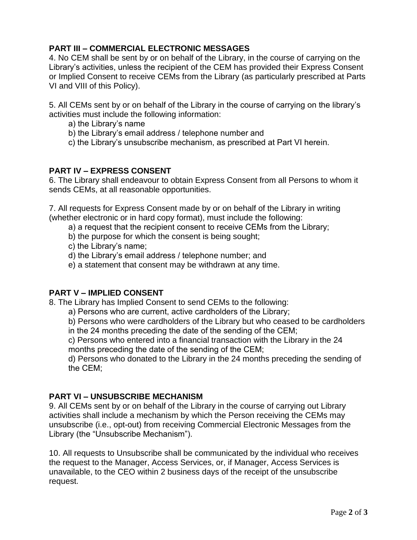# **PART III – COMMERCIAL ELECTRONIC MESSAGES**

4. No CEM shall be sent by or on behalf of the Library, in the course of carrying on the Library's activities, unless the recipient of the CEM has provided their Express Consent or Implied Consent to receive CEMs from the Library (as particularly prescribed at Parts VI and VIII of this Policy).

5. All CEMs sent by or on behalf of the Library in the course of carrying on the library's activities must include the following information:

- a) the Library's name
- b) the Library's email address / telephone number and
- c) the Library's unsubscribe mechanism, as prescribed at Part VI herein.

## **PART IV – EXPRESS CONSENT**

6. The Library shall endeavour to obtain Express Consent from all Persons to whom it sends CEMs, at all reasonable opportunities.

7. All requests for Express Consent made by or on behalf of the Library in writing (whether electronic or in hard copy format), must include the following:

- a) a request that the recipient consent to receive CEMs from the Library;
- b) the purpose for which the consent is being sought;
- c) the Library's name;
- d) the Library's email address / telephone number; and
- e) a statement that consent may be withdrawn at any time.

# **PART V – IMPLIED CONSENT**

8. The Library has Implied Consent to send CEMs to the following:

- a) Persons who are current, active cardholders of the Library;
- b) Persons who were cardholders of the Library but who ceased to be cardholders
- in the 24 months preceding the date of the sending of the CEM;
- c) Persons who entered into a financial transaction with the Library in the 24 months preceding the date of the sending of the CEM;

d) Persons who donated to the Library in the 24 months preceding the sending of the CEM;

# **PART VI – UNSUBSCRIBE MECHANISM**

9. All CEMs sent by or on behalf of the Library in the course of carrying out Library activities shall include a mechanism by which the Person receiving the CEMs may unsubscribe (i.e., opt-out) from receiving Commercial Electronic Messages from the Library (the "Unsubscribe Mechanism").

10. All requests to Unsubscribe shall be communicated by the individual who receives the request to the Manager, Access Services, or, if Manager, Access Services is unavailable, to the CEO within 2 business days of the receipt of the unsubscribe request.